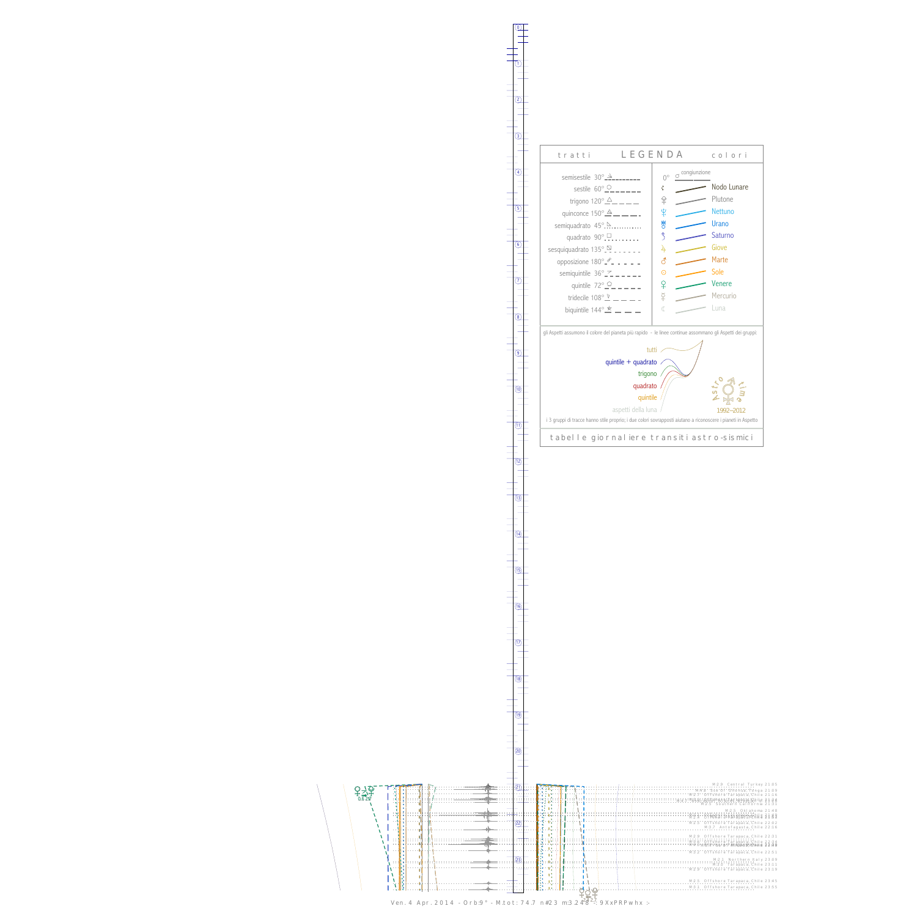$2\frac{1}{2}$  $-1$ <br>0.6 2.7